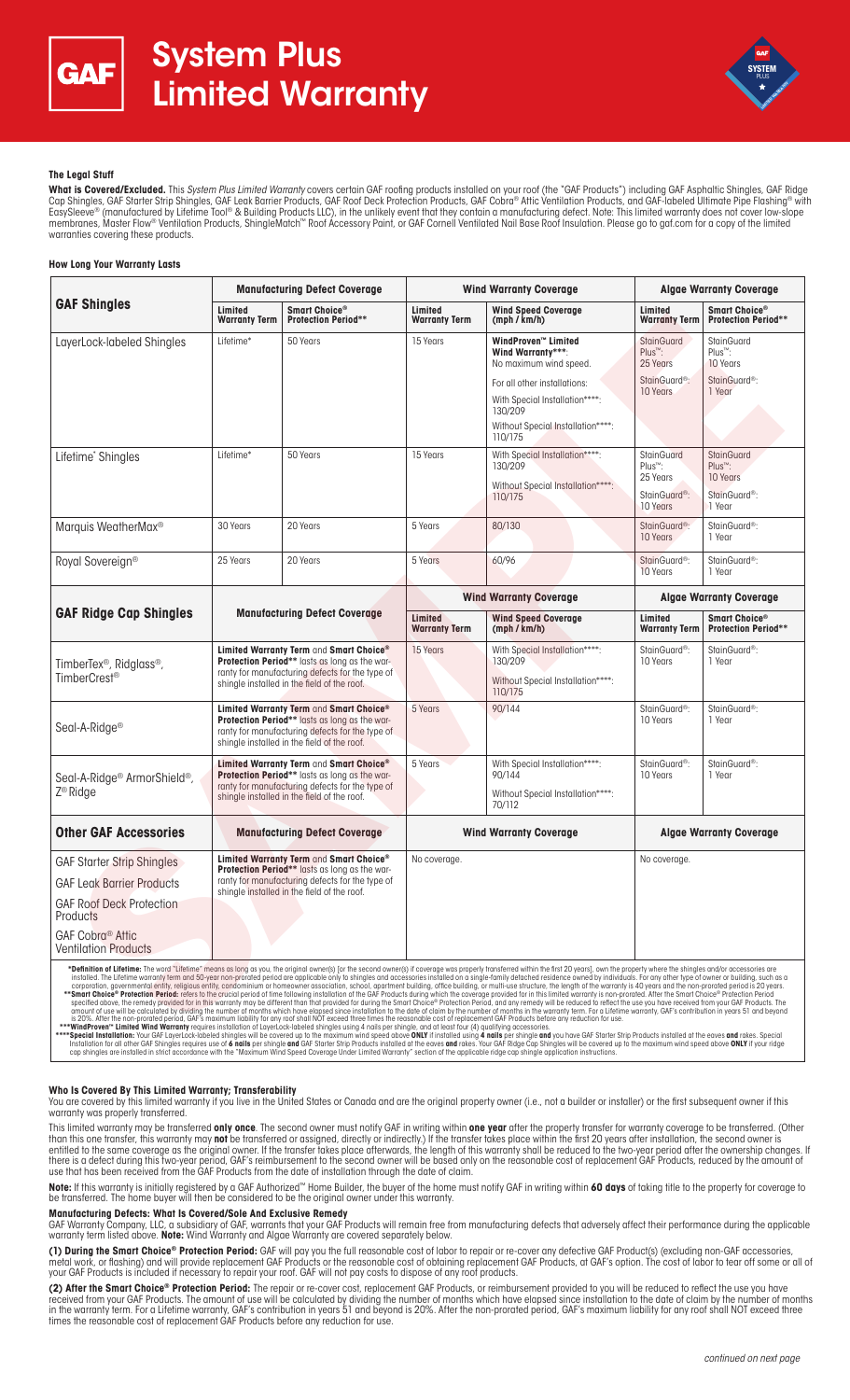



# **The Legal Stuff**

**What is Covered/Excluded.** This *System Plus Limited Warranty* covers certain GAF roofing products installed on your roof (the "GAF Products") including GAF Asphaltic Shingles, GAF Ridge<br>Cap Shingles, GAF Starter Strip Sh EasySleeve® (manufactured by Lifetime Tool® & Building Products LLC), in the unlikely event that they contain a manufacturing defect. Note: This limited warranty does not cover low-slope membranes, Master Flow® Ventilation Products, ShingleMatch™ Roof Accessory Paint, or GAF Cornell Ventilated Nail Base Roof Insulation. Please go to gaf.com for a copy of the limited warranties covering these products.

# **How Long Your Warranty Lasts**

| <b>GAF Shingles</b>                                                                                                                                                                                                                                                                                                                                                                                                                                                                                                                                                                                                                                                                                                                                                                                                                                                                                                                                                                                                                                                                                                                                                                                                                                                                                                                                                                                                                                                                                                                   | <b>Manufacturing Defect Coverage</b>                                                                                                                                                              |                                                         | <b>Wind Warranty Coverage</b>   |                                                                                                                                                                                                 | <b>Algae Warranty Coverage</b>                                                       |                                                                                             |
|---------------------------------------------------------------------------------------------------------------------------------------------------------------------------------------------------------------------------------------------------------------------------------------------------------------------------------------------------------------------------------------------------------------------------------------------------------------------------------------------------------------------------------------------------------------------------------------------------------------------------------------------------------------------------------------------------------------------------------------------------------------------------------------------------------------------------------------------------------------------------------------------------------------------------------------------------------------------------------------------------------------------------------------------------------------------------------------------------------------------------------------------------------------------------------------------------------------------------------------------------------------------------------------------------------------------------------------------------------------------------------------------------------------------------------------------------------------------------------------------------------------------------------------|---------------------------------------------------------------------------------------------------------------------------------------------------------------------------------------------------|---------------------------------------------------------|---------------------------------|-------------------------------------------------------------------------------------------------------------------------------------------------------------------------------------------------|--------------------------------------------------------------------------------------|---------------------------------------------------------------------------------------------|
|                                                                                                                                                                                                                                                                                                                                                                                                                                                                                                                                                                                                                                                                                                                                                                                                                                                                                                                                                                                                                                                                                                                                                                                                                                                                                                                                                                                                                                                                                                                                       | Limited<br><b>Warranty Term</b>                                                                                                                                                                   | Smart Choice <sup>®</sup><br><b>Protection Period**</b> | Limited<br><b>Warranty Term</b> | <b>Wind Speed Coverage</b><br>(mph / km/h)                                                                                                                                                      | Limited<br><b>Warranty Term</b>                                                      | Smart Choice®<br><b>Protection Period**</b>                                                 |
| LayerLock-labeled Shingles                                                                                                                                                                                                                                                                                                                                                                                                                                                                                                                                                                                                                                                                                                                                                                                                                                                                                                                                                                                                                                                                                                                                                                                                                                                                                                                                                                                                                                                                                                            | Lifetime*                                                                                                                                                                                         | 50 Years                                                | 15 Years                        | WindProven™ Limited<br>Wind Warranty***:<br>No maximum wind speed.<br>For all other installations:<br>With Special Installation****:<br>130/209<br>Without Special Installation****:<br>110/175 | <b>StainGuard</b><br>$Plus^m$ :<br>25 Years<br>StainGuard <sup>®</sup> :<br>10 Years | <b>StainGuard</b><br>Plus <sup>™</sup> :<br>10 Years<br>StainGuard <sup>®</sup> :<br>1 Year |
| Lifetime* Shingles                                                                                                                                                                                                                                                                                                                                                                                                                                                                                                                                                                                                                                                                                                                                                                                                                                                                                                                                                                                                                                                                                                                                                                                                                                                                                                                                                                                                                                                                                                                    | Lifetime*                                                                                                                                                                                         | 50 Years                                                | 15 Years                        | With Special Installation****:<br>130/209<br>Without Special Installation****:<br>110/175                                                                                                       | <b>StainGuard</b><br>Plus™:<br>25 Years<br>StainGuard <sup>®</sup> :<br>10 Years     | StainGuard<br>Plus <sup>™</sup> :<br>10 Years<br>StainGuard <sup>®</sup> :<br>1 Year        |
| Marquis WeatherMax <sup>®</sup>                                                                                                                                                                                                                                                                                                                                                                                                                                                                                                                                                                                                                                                                                                                                                                                                                                                                                                                                                                                                                                                                                                                                                                                                                                                                                                                                                                                                                                                                                                       | 30 Years                                                                                                                                                                                          | 20 Years                                                | 5 Years                         | 80/130                                                                                                                                                                                          | StainGuard <sup>®</sup> :<br>10 Years                                                | StainGuard <sup>®</sup> :<br>1 Year                                                         |
| Royal Sovereign®                                                                                                                                                                                                                                                                                                                                                                                                                                                                                                                                                                                                                                                                                                                                                                                                                                                                                                                                                                                                                                                                                                                                                                                                                                                                                                                                                                                                                                                                                                                      | 25 Years                                                                                                                                                                                          | 20 Years                                                | 5 Years                         | 60/96                                                                                                                                                                                           | StainGuard <sup>®</sup> :<br>10 Years                                                | StainGuard <sup>®</sup> :<br>1 Year                                                         |
| <b>GAF Ridge Cap Shingles</b>                                                                                                                                                                                                                                                                                                                                                                                                                                                                                                                                                                                                                                                                                                                                                                                                                                                                                                                                                                                                                                                                                                                                                                                                                                                                                                                                                                                                                                                                                                         | <b>Manufacturing Defect Coverage</b>                                                                                                                                                              |                                                         | <b>Wind Warranty Coverage</b>   |                                                                                                                                                                                                 | <b>Algae Warranty Coverage</b>                                                       |                                                                                             |
|                                                                                                                                                                                                                                                                                                                                                                                                                                                                                                                                                                                                                                                                                                                                                                                                                                                                                                                                                                                                                                                                                                                                                                                                                                                                                                                                                                                                                                                                                                                                       |                                                                                                                                                                                                   |                                                         | Limited<br><b>Warranty Term</b> | <b>Wind Speed Coverage</b><br>(mph / km/h)                                                                                                                                                      | Limited<br><b>Warranty Term</b>                                                      | Smart Choice®<br><b>Protection Period**</b>                                                 |
| TimberTex <sup>®</sup> , Ridglass <sup>®</sup> ,<br>TimberCrest <sup>®</sup>                                                                                                                                                                                                                                                                                                                                                                                                                                                                                                                                                                                                                                                                                                                                                                                                                                                                                                                                                                                                                                                                                                                                                                                                                                                                                                                                                                                                                                                          | Limited Warranty Term and Smart Choice®<br><b>Protection Period**</b> lasts as long as the war-<br>ranty for manufacturing defects for the type of<br>shingle installed in the field of the roof. |                                                         | 15 Years                        | With Special Installation****:<br>130/209<br>Without Special Installation****:<br>110/175                                                                                                       | StainGuard <sup>®</sup> :<br>10 Years                                                | StainGuard <sup>®</sup> :<br>1 Year                                                         |
| Seal-A-Ridge <sup>®</sup>                                                                                                                                                                                                                                                                                                                                                                                                                                                                                                                                                                                                                                                                                                                                                                                                                                                                                                                                                                                                                                                                                                                                                                                                                                                                                                                                                                                                                                                                                                             | Limited Warranty Term and Smart Choice®<br>Protection Period** lasts as long as the war-<br>ranty for manufacturing defects for the type of<br>shingle installed in the field of the roof.        |                                                         | 5 Years                         | 90/144                                                                                                                                                                                          | StainGuard <sup>®</sup> :<br>10 Years                                                | StainGuard <sup>®</sup> :<br>1 Year                                                         |
| Seal-A-Ridge <sup>®</sup> ArmorShield <sup>®</sup> ,<br>Z <sup>®</sup> Ridge                                                                                                                                                                                                                                                                                                                                                                                                                                                                                                                                                                                                                                                                                                                                                                                                                                                                                                                                                                                                                                                                                                                                                                                                                                                                                                                                                                                                                                                          | Limited Warranty Term and Smart Choice®<br>Protection Period** lasts as long as the war-<br>ranty for manufacturing defects for the type of<br>shingle installed in the field of the roof.        |                                                         | 5 Years                         | With Special Installation****:<br>90/144<br>Without Special Installation****:<br>70/112                                                                                                         | StainGuard <sup>®</sup> :<br>10 Years                                                | StainGuard <sup>®</sup> :<br>1 Year                                                         |
| <b>Other GAF Accessories</b>                                                                                                                                                                                                                                                                                                                                                                                                                                                                                                                                                                                                                                                                                                                                                                                                                                                                                                                                                                                                                                                                                                                                                                                                                                                                                                                                                                                                                                                                                                          | <b>Manufacturing Defect Coverage</b>                                                                                                                                                              |                                                         | <b>Wind Warranty Coverage</b>   |                                                                                                                                                                                                 | <b>Algae Warranty Coverage</b>                                                       |                                                                                             |
| <b>GAF Starter Strip Shingles</b><br><b>GAF Leak Barrier Products</b><br><b>GAF Roof Deck Protection</b><br>Products<br>GAF Cobra <sup>®</sup> Attic<br><b>Ventilation Products</b>                                                                                                                                                                                                                                                                                                                                                                                                                                                                                                                                                                                                                                                                                                                                                                                                                                                                                                                                                                                                                                                                                                                                                                                                                                                                                                                                                   | Limited Warranty Term and Smart Choice®<br>Protection Period** lasts as long as the war-<br>ranty for manufacturing defects for the type of<br>shingle installed in the field of the roof.        |                                                         | No coverage.                    |                                                                                                                                                                                                 | No coverage.                                                                         |                                                                                             |
| *Definition of Lifetime: The word "Lifetime" means as long as you, the original owner(s) [or the second owner(s) if coverage was properly transferred within the first 20 years], own the property where the shingles and/or a<br>installed. The Lifetime warranty term and 50-year non-prorated period are applicable only to shingles and accessories installed on a single-family detached residence owned by individuals. For any other type of owner or bui<br>corporation, governmental entity, religious entity, condominium or homeowner association, school, apartment building, office building, or multi-use structure, the length of the warranty is 40 years and the non-prorated per<br>**Smart Choice* Protection Period: refers to the crucial period of time following installation of the GAF Products during which the coverage provided for in this limited warranty is non-prorated. After the Smart Choice* Pr<br>amount of use will be calculated by dividing the number of months which have elapsed since installation to the date of claim by the number of months in the warranty term. For a Lifetime warranty, GAF's contribution in year<br>is 20%. After the non-prorated period, GAF's maximum liability for any roof shall NOT exceed three times the reasonable cost of replacement GAF Products before any reduction for use.<br>***WindProven" Limited Wind Warranty requires installation of LayerLock-labeled shingles using 4 nails per shingle, and at least four (4) qualifying accessories. |                                                                                                                                                                                                   |                                                         |                                 |                                                                                                                                                                                                 |                                                                                      |                                                                                             |

corporation, governmental entity, religious entity, condominium or homeowner association, school, apartment building, office building, or multi-use structure, the length of the warranty is 40 years and the non-prorated per

# **Who Is Covered By This Limited Warranty; Transferability**

You are covered by this limited warranty if you live in the United States or Canada and are the original property owner (i.e., not a builder or installer) or the first subsequent owner if this warranty was properly transferred.

This limited warranty may be transferred **only once**. The second owner must notify GAF in writing within **one year** after the property transfer for warranty coverage to be transferred. (Other than this one transfer, this warranty may **not** be transferred or assigned, directly or indirectly.) If the transfer takes place within the first 20 years after installation, the second owner is entitled to the same coverage as the original owner. If the transfer takes place afterwards, the length of this warranty shall be reduced to the two-year period after the ownership changes. If there is a defect during this two-year period, GAF's reimbursement to the second owner will be based only on the reasonable cost of replacement GAF Products, reduced by the amount of use that has been received from the GAF Products from the date of installation through the date of claim.

**Note:** If this warranty is initially registered by a GAF Authorized™ Home Builder, the buyer of the home must notify GAF in writing within **60 days** of taking title to the property for coverage to be transferred. The home buyer will then be considered to be the original owner under this warranty.

### **Manufacturing Defects: What Is Covered/Sole And Exclusive Remedy**

GAF Warranty Company, LLC, a subsidiary of GAF, warrants that your GAF Products will remain free from manufacturing defects that adversely affect their performance during the applicable<br>warranty term listed above. **Note:**

**(1) During the Smart Choice® Protection Period:** GAF will pay you the full reasonable cost of labor to repair or re-cover any defective GAF Product(s) (excluding non-GAF accessories, metal work, or flashing) and will provide replacement GAF Products or the reasonable cost of obtaining replacement GAF Products, at GAF's option. The cost of labor to tear off some or all of your GAF Products is included if necessary to repair your roof. GAF will not pay costs to dispose of any roof products.

**(2) After the Smart Choice® Protection Period:** The repair or re-cover cost, replacement GAF Products, or reimbursement provided to you will be reduced to reflect the use you have received from your GAF Products. The amount of use will be calculated by dividing the number of months which have elapsed since installation to the date of claim by the number of months in the warranty term. For a Lifetime warranty, GAF's contribution in years 51 and beyond is 20%. After the non-prorated period, GAF's maximum liability for any roof shall NOT exceed three times the reasonable cost of replacement GAF Products before any reduction for use.